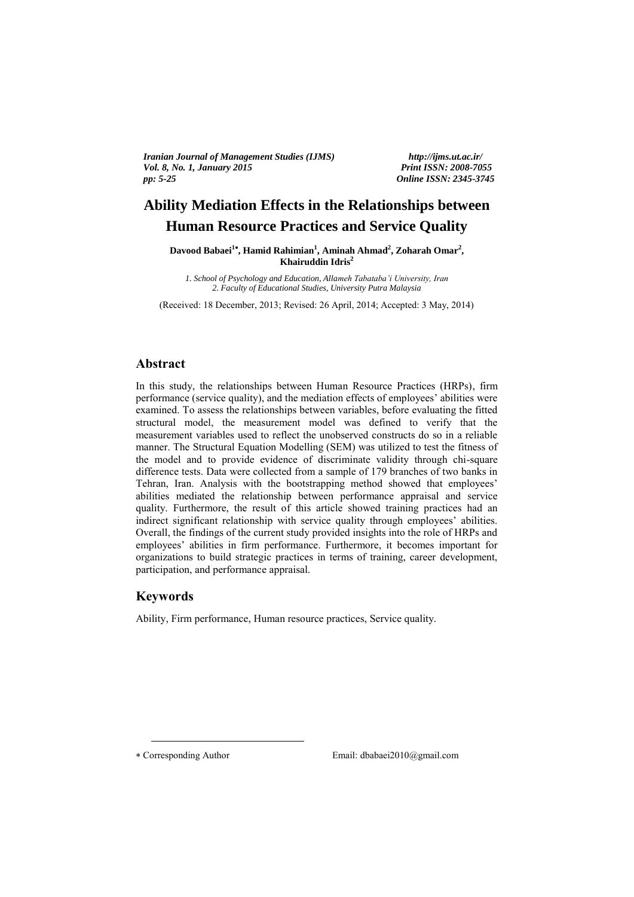*Iranian Journal of Management Studies (IJMS) http://ijms.ut.ac.ir/ Vol. 8, No. 1, January 2015 Print ISSN: 2008-7055 pp: 5-25 Online ISSN: 2345-3745*

# **Ability Mediation Effects in the Relationships between Human Resource Practices and Service Quality**

**Davood Babaei<sup>1</sup><sup>\*</sup>, Hamid Rahimian<sup>1</sup>, Aminah Ahmad<sup>2</sup>, Zoharah Omar<sup>2</sup>, Khairuddin Idris<sup>2</sup>**

> *1. School of Psychology and Education, Allameh Tabataba'i University, Iran 2. Faculty of Educational Studies, University Putra Malaysia*

(Received: 18 December, 2013; Revised: 26 April, 2014; Accepted: 3 May, 2014)

### **Abstract**

In this study, the relationships between Human Resource Practices (HRPs), firm performance (service quality), and the mediation effects of employees' abilities were examined. To assess the relationships between variables, before evaluating the fitted structural model, the measurement model was defined to verify that the measurement variables used to reflect the unobserved constructs do so in a reliable manner. The Structural Equation Modelling (SEM) was utilized to test the fitness of the model and to provide evidence of discriminate validity through chi-square difference tests. Data were collected from a sample of 179 branches of two banks in Tehran, Iran. Analysis with the bootstrapping method showed that employees' abilities mediated the relationship between performance appraisal and service quality. Furthermore, the result of this article showed training practices had an indirect significant relationship with service quality through employees' abilities. Overall, the findings of the current study provided insights into the role of HRPs and employees' abilities in firm performance. Furthermore, it becomes important for organizations to build strategic practices in terms of training, career development, participation, and performance appraisal.

## **Keywords**

Ability, Firm performance, Human resource practices, Service quality.

<u>.</u>

Corresponding Author Email: dbabaei2010@gmail.com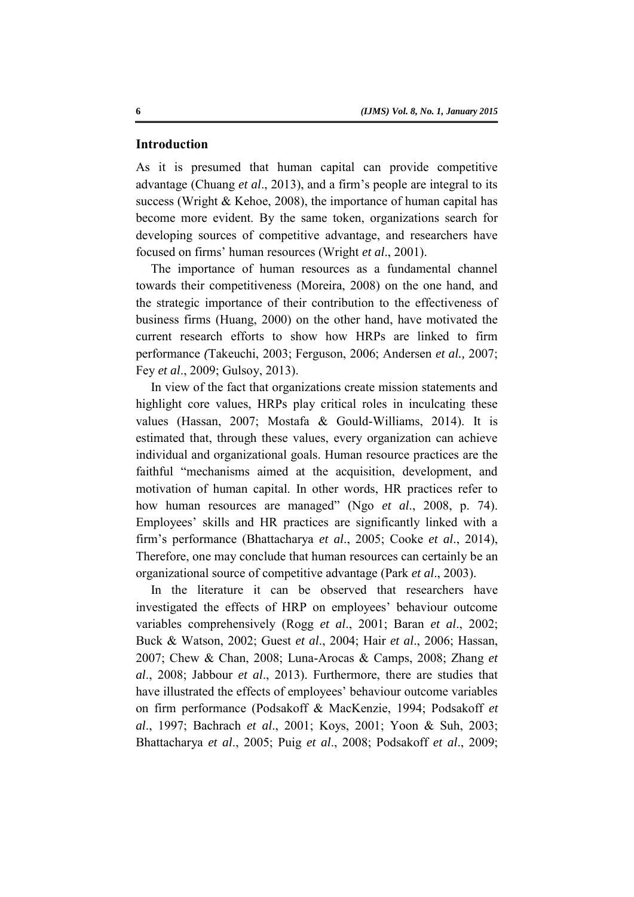#### **Introduction**

As it is presumed that human capital can provide competitive advantage (Chuang *et al*., 2013), and a firm's people are integral to its success (Wright & Kehoe, 2008), the importance of human capital has become more evident. By the same token, organizations search for developing sources of competitive advantage, and researchers have focused on firms' human resources (Wright *et al*., 2001).

The importance of human resources as a fundamental channel towards their competitiveness (Moreira, 2008) on the one hand, and the strategic importance of their contribution to the effectiveness of business firms (Huang, 2000) on the other hand, have motivated the current research efforts to show how HRPs are linked to firm performance *(*Takeuchi, 2003; Ferguson, 2006; Andersen *et al.,* 2007; Fey *et al*., 2009; Gulsoy, 2013).

In view of the fact that organizations create mission statements and highlight core values, HRPs play critical roles in inculcating these values (Hassan, 2007; Mostafa & Gould-Williams, 2014). It is estimated that, through these values, every organization can achieve individual and organizational goals. Human resource practices are the faithful "mechanisms aimed at the acquisition, development, and motivation of human capital. In other words, HR practices refer to how human resources are managed" (Ngo *et al*., 2008, p. 74). Employees' skills and HR practices are significantly linked with a firm's performance (Bhattacharya *et al*., 2005; Cooke *et al*., 2014), Therefore, one may conclude that human resources can certainly be an organizational source of competitive advantage (Park *et al*., 2003).

In the literature it can be observed that researchers have investigated the effects of HRP on employees' behaviour outcome variables comprehensively (Rogg *et al*., 2001; Baran *et al*., 2002; Buck & Watson, 2002; Guest *et al*., 2004; Hair *et al*., 2006; Hassan, 2007; Chew & Chan, 2008; Luna-Arocas & Camps, 2008; Zhang *et al*., 2008; Jabbour *et al*., 2013). Furthermore, there are studies that have illustrated the effects of employees' behaviour outcome variables on firm performance (Podsakoff & MacKenzie, 1994; Podsakoff *et al*., 1997; Bachrach *et al*., 2001; Koys, 2001; Yoon & Suh, 2003; Bhattacharya *et al*., 2005; Puig *et al*., 2008; Podsakoff *et al*., 2009;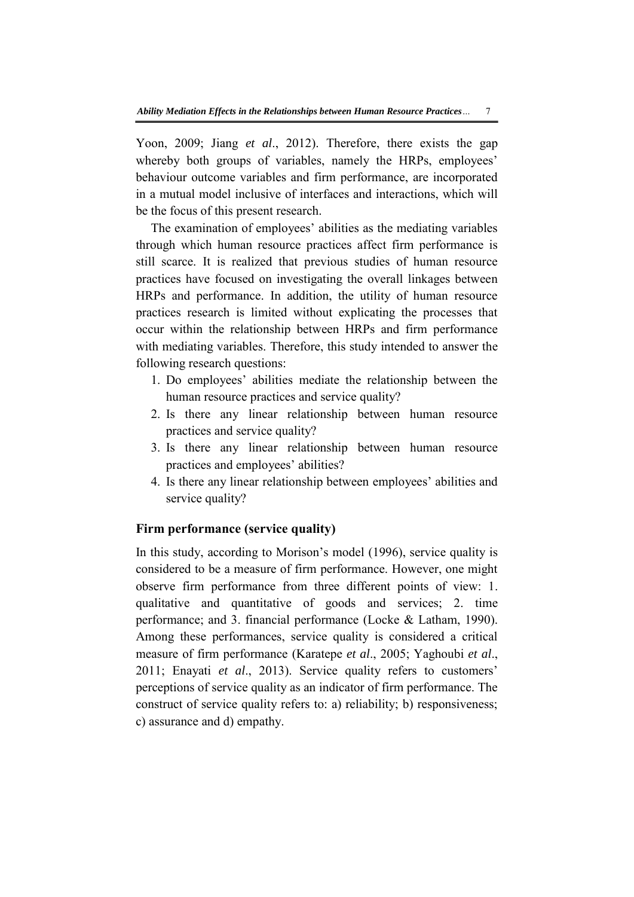Yoon, 2009; Jiang *et al*., 2012). Therefore, there exists the gap whereby both groups of variables, namely the HRPs, employees' behaviour outcome variables and firm performance, are incorporated in a mutual model inclusive of interfaces and interactions, which will be the focus of this present research.

The examination of employees' abilities as the mediating variables through which human resource practices affect firm performance is still scarce. It is realized that previous studies of human resource practices have focused on investigating the overall linkages between HRPs and performance. In addition, the utility of human resource practices research is limited without explicating the processes that occur within the relationship between HRPs and firm performance with mediating variables. Therefore, this study intended to answer the following research questions:

- 1. Do employees' abilities mediate the relationship between the human resource practices and service quality?
- 2. Is there any linear relationship between human resource practices and service quality?
- 3. Is there any linear relationship between human resource practices and employees' abilities?
- 4. Is there any linear relationship between employees' abilities and service quality?

## **Firm performance (service quality)**

In this study, according to Morison's model (1996), service quality is considered to be a measure of firm performance. However, one might observe firm performance from three different points of view: 1. qualitative and quantitative of goods and services; 2. time performance; and 3. financial performance (Locke & Latham, 1990). Among these performances, service quality is considered a critical measure of firm performance (Karatepe *et al*., 2005; Yaghoubi *et al*., 2011; Enayati *et al*., 2013). Service quality refers to customers' perceptions of service quality as an indicator of firm performance. The construct of service quality refers to: a) reliability; b) responsiveness; c) assurance and d) empathy.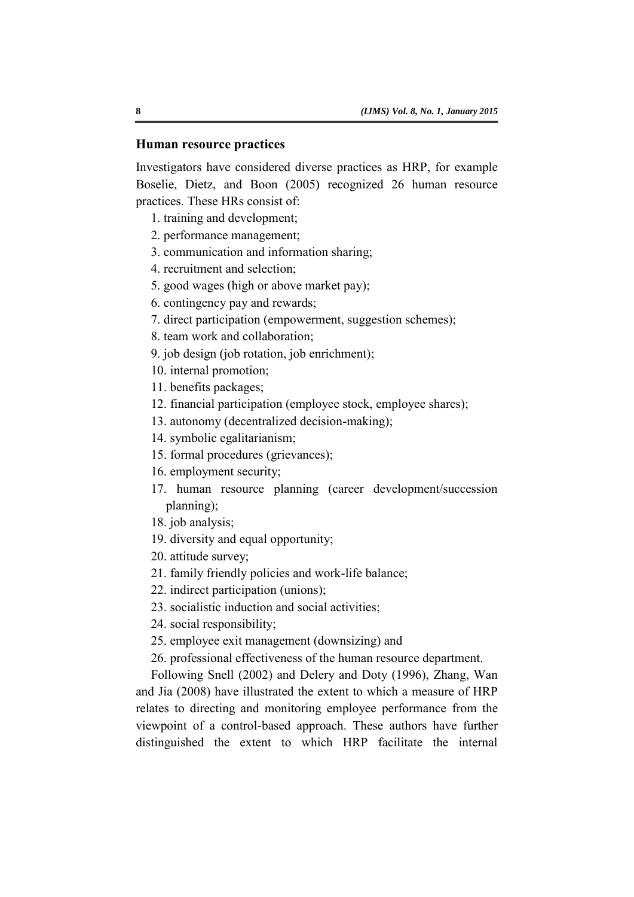## **Human resource practices**

Investigators have considered diverse practices as HRP, for example Boselie, Dietz, and Boon (2005) recognized 26 human resource practices. These HRs consist of:

1. training and development;

- 2. performance management;
- 3. communication and information sharing;
- 4. recruitment and selection;
- 5. good wages (high or above market pay);
- 6. contingency pay and rewards;
- 7. direct participation (empowerment, suggestion schemes);
- 8. team work and collaboration;
- 9. job design (job rotation, job enrichment);
- 10. internal promotion;
- 11. benefits packages;
- 12. financial participation (employee stock, employee shares);
- 13. autonomy (decentralized decision-making);
- 14. symbolic egalitarianism;
- 15. formal procedures (grievances);
- 16. employment security;
- 17. human resource planning (career development/succession planning);
- 18. job analysis;
- 19. diversity and equal opportunity;
- 20. attitude survey;
- 21. family friendly policies and work-life balance;
- 22. indirect participation (unions);
- 23. socialistic induction and social activities;
- 24. social responsibility;
- 25. employee exit management (downsizing) and
- 26. professional effectiveness of the human resource department.

Following Snell (2002) and Delery and Doty (1996), Zhang, Wan and Jia (2008) have illustrated the extent to which a measure of HRP relates to directing and monitoring employee performance from the viewpoint of a control-based approach. These authors have further distinguished the extent to which HRP facilitate the internal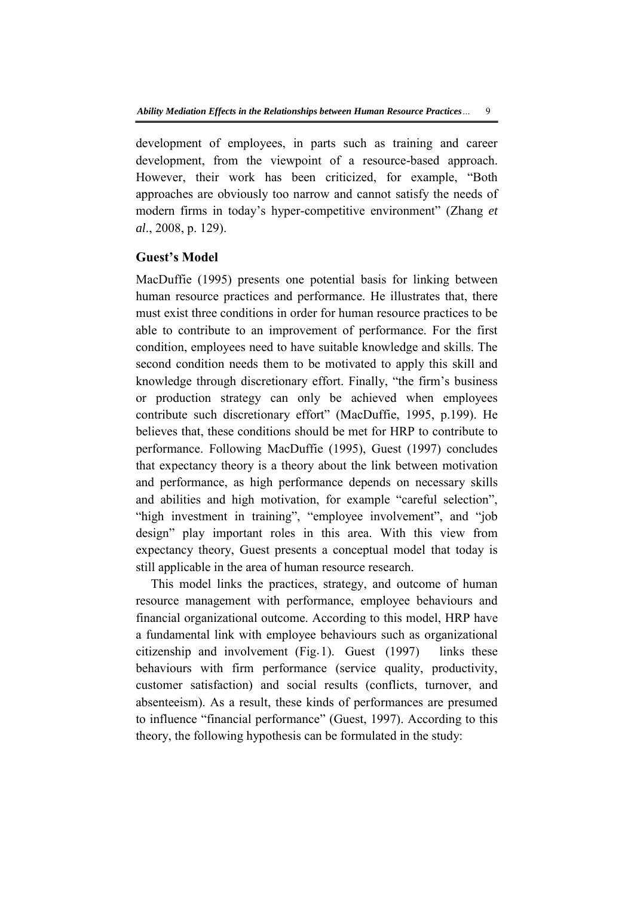development of employees, in parts such as training and career development, from the viewpoint of a resource-based approach. However, their work has been criticized, for example, "Both approaches are obviously too narrow and cannot satisfy the needs of modern firms in today's hyper-competitive environment" (Zhang *et al*., 2008, p. 129).

## **Guest's Model**

MacDuffie (1995) presents one potential basis for linking between human resource practices and performance. He illustrates that, there must exist three conditions in order for human resource practices to be able to contribute to an improvement of performance. For the first condition, employees need to have suitable knowledge and skills. The second condition needs them to be motivated to apply this skill and knowledge through discretionary effort. Finally, "the firm's business or production strategy can only be achieved when employees contribute such discretionary effort" (MacDuffie, 1995, p.199). He believes that, these conditions should be met for HRP to contribute to performance. Following MacDuffie (1995), Guest (1997) concludes that expectancy theory is a theory about the link between motivation and performance, as high performance depends on necessary skills and abilities and high motivation, for example "careful selection", "high investment in training", "employee involvement", and "job design" play important roles in this area. With this view from expectancy theory, Guest presents a conceptual model that today is still applicable in the area of human resource research.

This model links the practices, strategy, and outcome of human resource management with performance, employee behaviours and financial organizational outcome. According to this model, HRP have a fundamental link with employee behaviours such as organizational citizenship and involvement (Fig.1). Guest (1997) links these behaviours with firm performance (service quality, productivity, customer satisfaction) and social results (conflicts, turnover, and absenteeism). As a result, these kinds of performances are presumed to influence "financial performance" (Guest, 1997). According to this theory, the following hypothesis can be formulated in the study: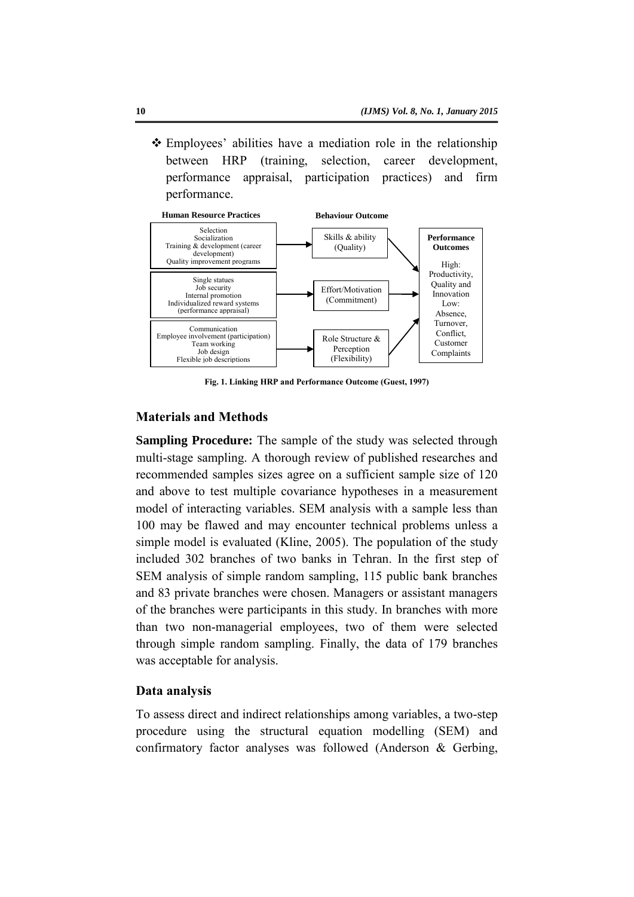Employees' abilities have a mediation role in the relationship between HRP (training, selection, career development, performance appraisal, participation practices) and firm performance.



**Fig. 1. Linking HRP and Performance Outcome (Guest, 1997)** 

## **Materials and Methods**

**Sampling Procedure:** The sample of the study was selected through multi-stage sampling. A thorough review of published researches and recommended samples sizes agree on a sufficient sample size of 120 and above to test multiple covariance hypotheses in a measurement model of interacting variables. SEM analysis with a sample less than 100 may be flawed and may encounter technical problems unless a simple model is evaluated (Kline, 2005). The population of the study included 302 branches of two banks in Tehran. In the first step of SEM analysis of simple random sampling, 115 public bank branches and 83 private branches were chosen. Managers or assistant managers of the branches were participants in this study. In branches with more than two non-managerial employees, two of them were selected through simple random sampling. Finally, the data of 179 branches was acceptable for analysis.

## **Data analysis**

To assess direct and indirect relationships among variables, a two-step procedure using the structural equation modelling (SEM) and confirmatory factor analyses was followed (Anderson & Gerbing,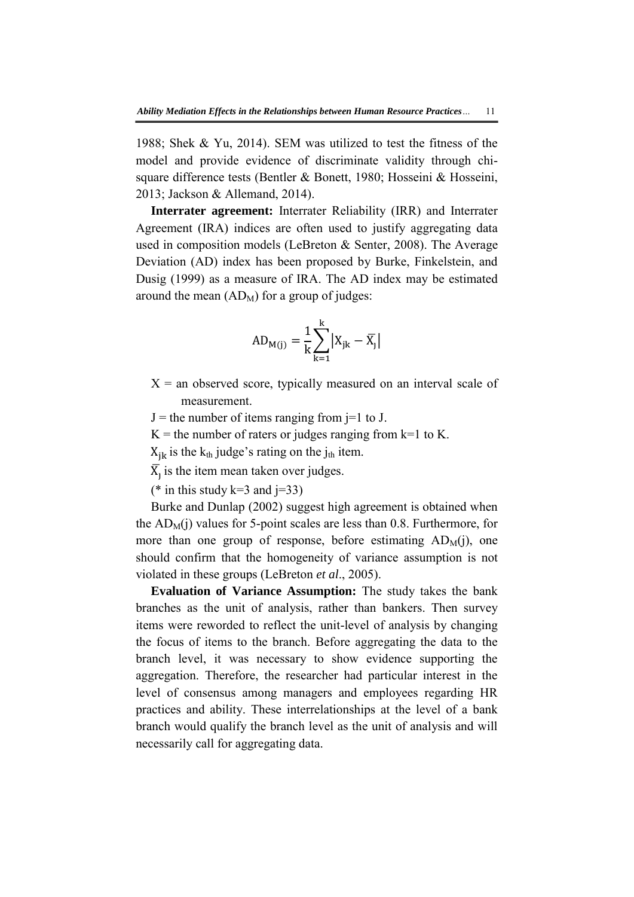1988; Shek & Yu, 2014). SEM was utilized to test the fitness of the model and provide evidence of discriminate validity through chisquare difference tests (Bentler & Bonett, 1980; Hosseini & Hosseini, 2013; Jackson & Allemand, 2014).

**Interrater agreement:** Interrater Reliability (IRR) and Interrater Agreement (IRA) indices are often used to justify aggregating data used in composition models (LeBreton & Senter, 2008). The Average Deviation (AD) index has been proposed by Burke, Finkelstein, and Dusig (1999) as a measure of IRA. The AD index may be estimated around the mean  $(AD_M)$  for a group of judges:

$$
AD_{M(j)}=\frac{1}{k}\sum_{k=1}^k \bigl|X_{jk}-\overline{X_j}\bigr|
$$

 $X =$  an observed score, typically measured on an interval scale of measurement.

 $J =$  the number of items ranging from  $j=1$  to J.

 $K =$  the number of raters or judges ranging from k=1 to K.

 $X_{ik}$  is the  $k_{th}$  judge's rating on the j<sub>th</sub> item.

 $\overline{X}_1$  is the item mean taken over judges.

(\* in this study k=3 and  $j=33$ )

Burke and Dunlap (2002) suggest high agreement is obtained when the  $AD_M(i)$  values for 5-point scales are less than 0.8. Furthermore, for more than one group of response, before estimating  $AD_M(i)$ , one should confirm that the homogeneity of variance assumption is not violated in these groups (LeBreton *et al*., 2005).

**Evaluation of Variance Assumption:** The study takes the bank branches as the unit of analysis, rather than bankers. Then survey items were reworded to reflect the unit-level of analysis by changing the focus of items to the branch. Before aggregating the data to the branch level, it was necessary to show evidence supporting the aggregation. Therefore, the researcher had particular interest in the level of consensus among managers and employees regarding HR practices and ability. These interrelationships at the level of a bank branch would qualify the branch level as the unit of analysis and will necessarily call for aggregating data.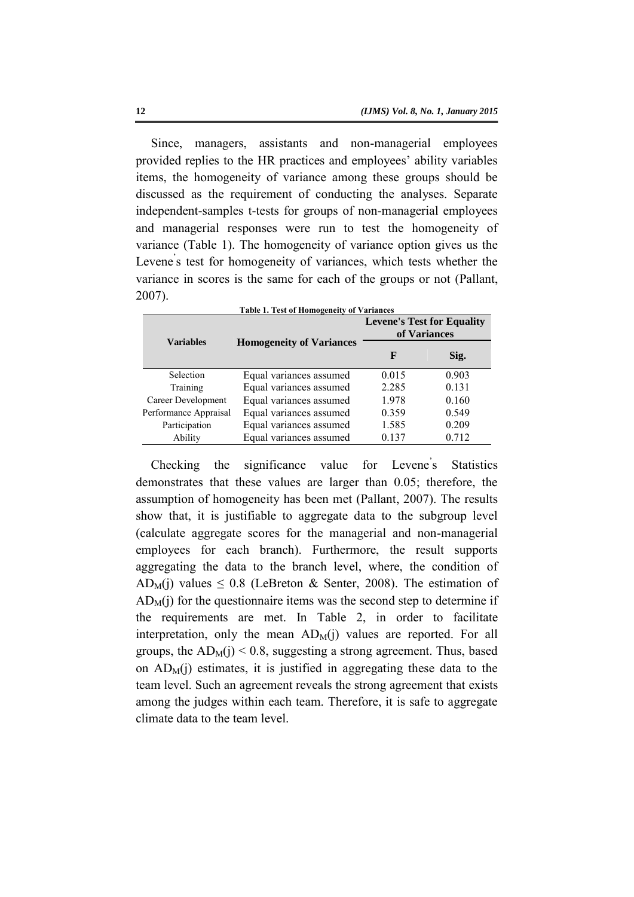Since, managers, assistants and non-managerial employees provided replies to the HR practices and employees' ability variables items, the homogeneity of variance among these groups should be discussed as the requirement of conducting the analyses. Separate independent-samples t-tests for groups of non-managerial employees and managerial responses were run to test the homogeneity of variance [\(Table 1\)](#page-7-0). The homogeneity of variance option gives us the Levene's test for homogeneity of variances, which tests whether the variance in scores is the same for each of the groups or not (Pallant, 2007).

<span id="page-7-0"></span>

| <b>Table 1. Test of Homogeneity of Variances</b> |                                 |                                                   |       |  |  |  |
|--------------------------------------------------|---------------------------------|---------------------------------------------------|-------|--|--|--|
|                                                  |                                 | <b>Levene's Test for Equality</b><br>of Variances |       |  |  |  |
| <b>Variables</b>                                 | <b>Homogeneity of Variances</b> | F                                                 | Sig.  |  |  |  |
| Selection                                        | Equal variances assumed         | 0.015                                             | 0.903 |  |  |  |
| Training                                         | Equal variances assumed         | 2.285                                             | 0.131 |  |  |  |
| Career Development                               | Equal variances assumed         | 1.978                                             | 0.160 |  |  |  |
| Performance Appraisal                            | Equal variances assumed         | 0.359                                             | 0.549 |  |  |  |
| Participation                                    | Equal variances assumed         | 1.585                                             | 0.209 |  |  |  |
| Ability                                          | Equal variances assumed         | 0.137                                             | 0.712 |  |  |  |

Checking the significance value for Levene's **Statistics** demonstrates that these values are larger than 0.05; therefore, the assumption of homogeneity has been met (Pallant, 2007). The results show that, it is justifiable to aggregate data to the subgroup level (calculate aggregate scores for the managerial and non-managerial employees for each branch). Furthermore, the result supports aggregating the data to the branch level, where, the condition of AD<sub>M</sub>(j) values  $\leq$  0.8 (LeBreton & Senter, 2008). The estimation of  $AD<sub>M</sub>(i)$  for the questionnaire items was the second step to determine if the requirements are met. In [Table 2,](#page-8-0) in order to facilitate interpretation, only the mean  $AD_M(i)$  values are reported. For all groups, the  $AD_M(i)$  < 0.8, suggesting a strong agreement. Thus, based on  $AD_M(i)$  estimates, it is justified in aggregating these data to the team level. Such an agreement reveals the strong agreement that exists among the judges within each team. Therefore, it is safe to aggregate climate data to the team level.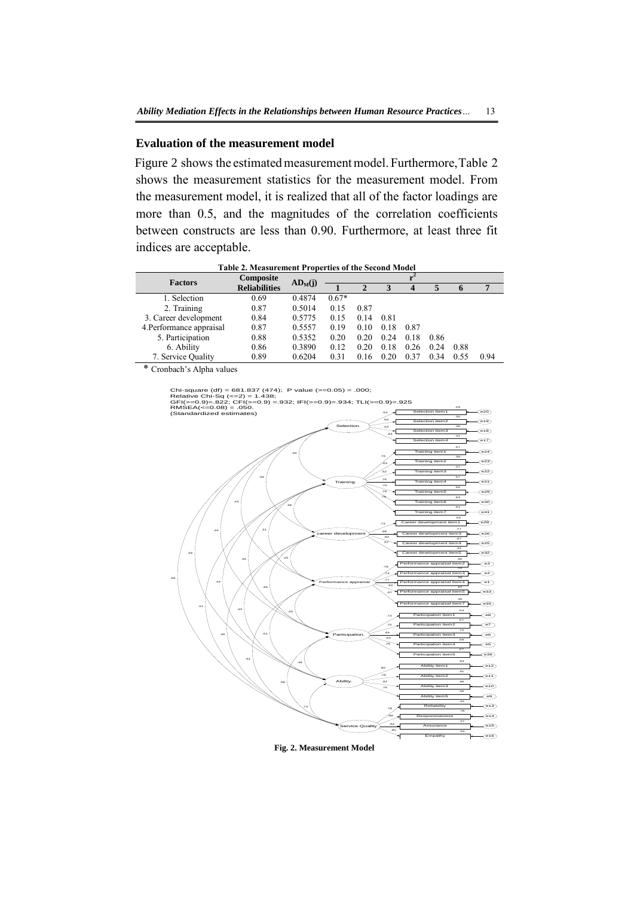#### **Evaluation of the measurement model**

Figure 2 shows the estimated measurement model. Furthermore[, Table 2](#page-8-0) shows the measurement statistics for the measurement model. From the measurement model, it is realized that all of the factor loadings are more than 0.5, and the magnitudes of the correlation coefficients between constructs are less than 0.90. Furthermore, at least three fit indices are acceptable.

<span id="page-8-0"></span>

| <b>Factors</b>           | Composite            |           |         |              |      |                  |      |      |      |
|--------------------------|----------------------|-----------|---------|--------------|------|------------------|------|------|------|
|                          | <b>Reliabilities</b> | $AD_M(i)$ |         | $\mathbf{2}$ | 3    | $\boldsymbol{4}$ | 5    | 6    |      |
| 1. Selection             | 0.69                 | 0.4874    | $0.67*$ |              |      |                  |      |      |      |
| 2. Training              | 0.87                 | 0.5014    | 0.15    | 0.87         |      |                  |      |      |      |
| 3. Career development    | 0.84                 | 0.5775    | 0.15    | 0.14         | 0.81 |                  |      |      |      |
| 4. Performance appraisal | 0.87                 | 0.5557    | 0.19    | 0.10         | 0.18 | 0.87             |      |      |      |
| 5. Participation         | 0.88                 | 0.5352    | 0.20    | 0.20         | 0.24 | 0.18             | 0.86 |      |      |
| 6. Ability               | 0.86                 | 0.3890    | 0.12    | 0.20         | 0.18 | 0.26             | 0.24 | 0.88 |      |
| 7. Service Quality       | 0.89                 | 0.6204    | 0.31    | 0.16         | 0.20 | 0.37             | 0.34 | 0.55 | 0.94 |
| $\sim$ 0.11 $\sim$       |                      |           |         |              |      |                  |      |      |      |

**Table 2. Measurement Properties of the Second Model** 

\* Cronbach's Alpha values

Performance appraisal .59  $\odot$ .77 .54  $\odot$ .60  $\widehat{e}$ .78 Participation. .69  $\overline{\text{e5}}$ .70  $\widehat{\mathcal{C}^{66}}$ .57  $\odot$ .54  $\widehat{e}$ .83 .84 .74 Ability. .56  $\bigcirc$ .66  $\sqrt{610}$ .61  $\bigodot$ .63  $\bigcirc$ Service Quality. .61  $\odot$ .78  $\widehat{\left(614\right)}$ .67  $\bigcirc$ .64  $\circledcirc$ .75 .81 .78 .78  $\overline{a}$  . .82  $\sim$ Selection.  $\overline{A1}$  $\binom{617}{ }$ .38  $\odot$ .35  $\bigcirc$ .29  $\odot$ Training. .57  $\widehat{C}$ .27  $\odot$ .39  $\binom{23}{2}$ .57  $\odot$  $\epsilon$ career development $\sum$ .67  $\circ$ .77  $\left( 26 \right)$ .54  $e^{28}$ .64 .62 Chi-square (df) = 681.837 (474); P value (>=0.05) = .000;<br>
Relative Chi-Sq (<=2) = 1.438;<br>
GFI(x=0.9)=.822; CFI(>=0.9) =.932; IFI(>=0.9)=.934; TLI(>=0.9)=.925<br>
RMSEA(<=0.08) = .050. (Standardized estimates) .76 .52 .63 .75 .82 .88 .73 .56 .41 .45 .61 .58 .74 .49 \ .51 .43 .44 .35 .43 .48 .45 .44 .43 .31 .39 .38 .39 .56  $\binom{29}{ }$ .75 .63  $\odot$ .79 .61  $\widehat{(\mathsf{e}31)}$ .78 .32  $\odot$ .57 .67  $\circ$ ـَـا مه. .45  $\circ$ ا الآتري .80 .75 .57  $\circledcirc$ .75 .44

<span id="page-8-1"></span>**Fig. 2. Measurement Model**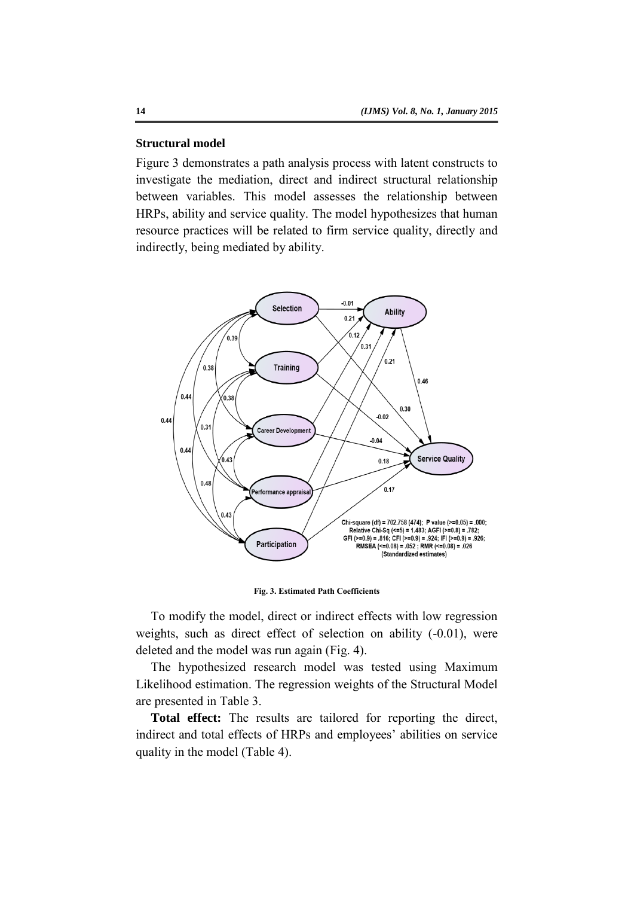## **Structural model**

Figure 3 demonstrates a path analysis process with latent constructs to investigate the mediation, direct and indirect structural relationship between variables. This model assesses the relationship between HRPs, ability and service quality. The model hypothesizes that human resource practices will be related to firm service quality, directly and indirectly, being mediated by ability.



**Fig. 3. Estimated Path Coefficients** 

To modify the model, direct or indirect effects with low regression weights, such as direct effect of selection on ability  $(-0.01)$ , were deleted and the model was run again [\(Fig. 4\)](#page-10-0).

The hypothesized research model was tested using Maximum Likelihood estimation. The regression weights of the Structural Model are presented in Table 3.

**Total effect:** The results are tailored for reporting the direct, indirect and total effects of HRPs and employees' abilities on service quality in the model (Table 4).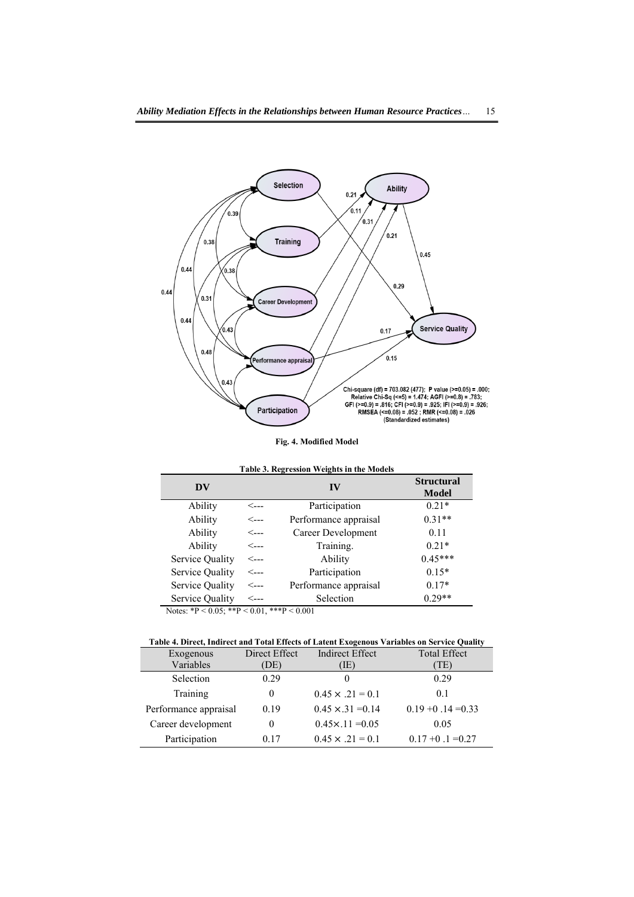

**Fig. 4. Modified Model**

<span id="page-10-0"></span>

| Table 3. Regression Weights in the Models |      |                       |                            |  |  |
|-------------------------------------------|------|-----------------------|----------------------------|--|--|
| DV                                        |      | IV                    | <b>Structural</b><br>Model |  |  |
| Ability                                   | <--- | Participation         | $0.21*$                    |  |  |
| Ability                                   | <--- | Performance appraisal | $0.31**$                   |  |  |
| Ability                                   | <--- | Career Development    | 0.11                       |  |  |
| Ability                                   | <--- | Training.             | $0.21*$                    |  |  |
| Service Quality                           | <--- | Ability               | $0.45***$                  |  |  |
| Service Quality                           | <--- | Participation         | $0.15*$                    |  |  |
| Service Quality                           | <--- | Performance appraisal | $0.17*$                    |  |  |
| Service Quality                           | ⊂--- | Selection             | $0.29**$                   |  |  |

Notes: \*P < 0.05; \*\*P < 0.01, \*\*\*P < 0.001

## **Table 4. Direct, Indirect and Total Effects of Latent Exogenous Variables on Service Quality**

| Exogenous             | Direct Effect | <b>Indirect Effect</b>    | <b>Total Effect</b>  |
|-----------------------|---------------|---------------------------|----------------------|
| Variables             | DE)           | TE)                       | TE)                  |
| Selection             | 0.29          | $_{0}$                    | 0.29                 |
| Training              | $\Omega$      | $0.45 \times .21 = 0.1$   | 0.1                  |
| Performance appraisal | 0.19          | $0.45 \times 31 = 0.14$   | $0.19 + 0.14 = 0.33$ |
| Career development    | 0             | $0.45 \times 0.11 = 0.05$ | 0.05                 |
| Participation         | 0.17          | $0.45 \times .21 = 0.1$   | $0.17 + 0.1 = 0.27$  |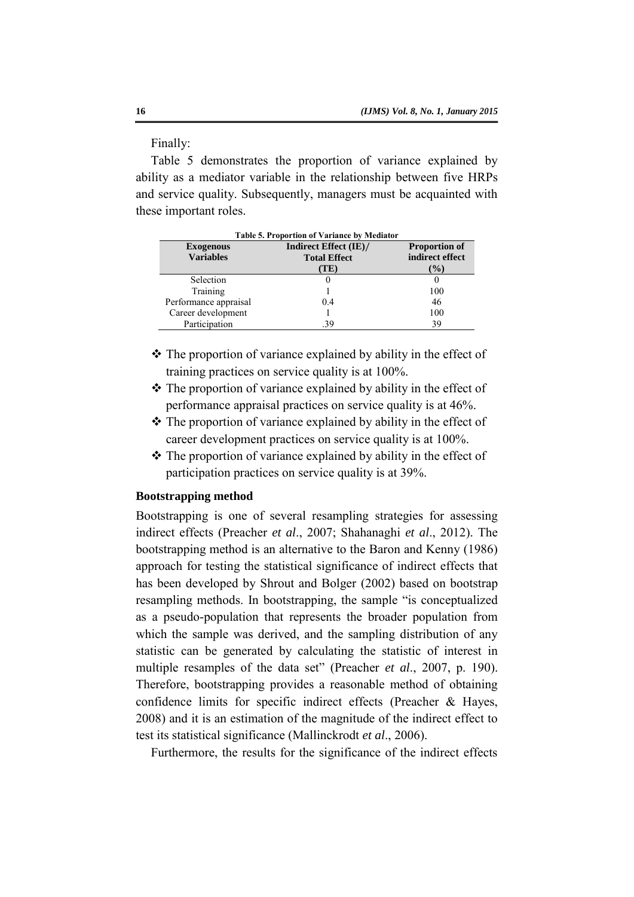Finally:

[Table 5](#page-11-0) demonstrates the proportion of variance explained by ability as a mediator variable in the relationship between five HRPs and service quality. Subsequently, managers must be acquainted with these important roles.

<span id="page-11-0"></span>

| Table 5. Proportion of Variance by Mediator |                       |                      |  |  |  |
|---------------------------------------------|-----------------------|----------------------|--|--|--|
| <b>Exogenous</b>                            | Indirect Effect (IE)/ | <b>Proportion of</b> |  |  |  |
| <b>Variables</b>                            | <b>Total Effect</b>   | indirect effect      |  |  |  |
|                                             | TE)                   | $\mathcal{O}_0$      |  |  |  |
| Selection                                   | 0                     |                      |  |  |  |
| Training                                    |                       | 100                  |  |  |  |
| Performance appraisal                       | 04                    | 46                   |  |  |  |
| Career development                          |                       | 100                  |  |  |  |
| Participation                               | .39                   | 39                   |  |  |  |

- $\hat{\mathbf{v}}$  The proportion of variance explained by ability in the effect of training practices on service quality is at 100%.
- $\triangle$  The proportion of variance explained by ability in the effect of performance appraisal practices on service quality is at 46%.
- \* The proportion of variance explained by ability in the effect of career development practices on service quality is at 100%.
- $\triangle$  The proportion of variance explained by ability in the effect of participation practices on service quality is at 39%.

## **Bootstrapping method**

Bootstrapping is one of several resampling strategies for assessing indirect effects (Preacher *et al*., 2007; Shahanaghi *et al*., 2012). The bootstrapping method is an alternative to the Baron and Kenny (1986) approach for testing the statistical significance of indirect effects that has been developed by Shrout and Bolger (2002) based on bootstrap resampling methods. In bootstrapping, the sample "is conceptualized as a pseudo-population that represents the broader population from which the sample was derived, and the sampling distribution of any statistic can be generated by calculating the statistic of interest in multiple resamples of the data set" (Preacher *et al*., 2007, p. 190). Therefore, bootstrapping provides a reasonable method of obtaining confidence limits for specific indirect effects (Preacher & Hayes, 2008) and it is an estimation of the magnitude of the indirect effect to test its statistical significance (Mallinckrodt *et al*., 2006).

Furthermore, the results for the significance of the indirect effects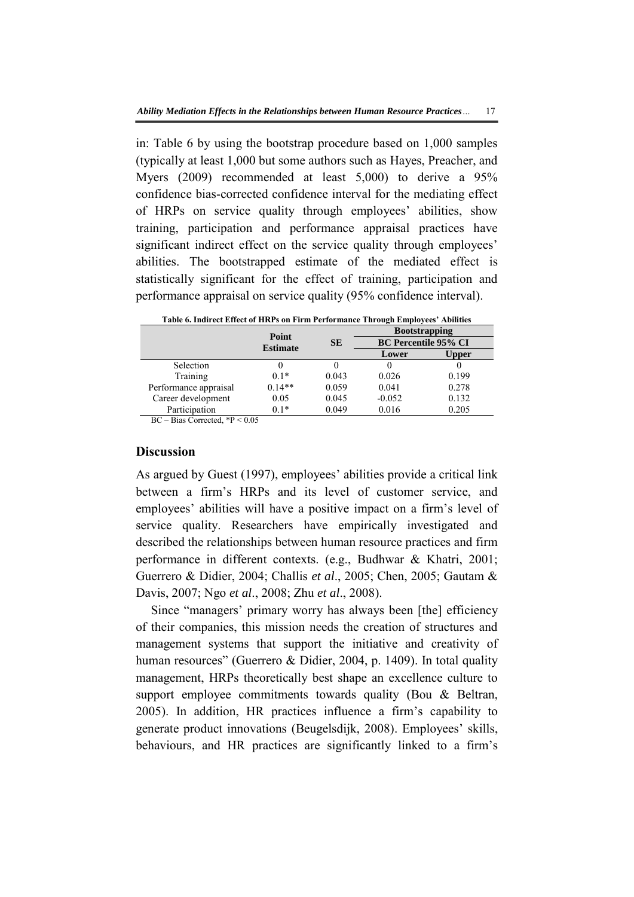in: Table 6 by using the bootstrap procedure based on 1,000 samples (typically at least 1,000 but some authors such as Hayes, Preacher, and Myers (2009) recommended at least 5,000) to derive a 95% confidence bias-corrected confidence interval for the mediating effect of HRPs on service quality through employees' abilities, show training, participation and performance appraisal practices have significant indirect effect on the service quality through employees' abilities. The bootstrapped estimate of the mediated effect is statistically significant for the effect of training, participation and performance appraisal on service quality (95% confidence interval).

| Table 6. Indirect Effect of HRPs on Firm Performance Through Employees' Abilities |                          |           |                             |              |  |  |
|-----------------------------------------------------------------------------------|--------------------------|-----------|-----------------------------|--------------|--|--|
|                                                                                   |                          |           | <b>Bootstrapping</b>        |              |  |  |
|                                                                                   | Point<br><b>Estimate</b> | <b>SE</b> | <b>BC Percentile 95% CI</b> |              |  |  |
|                                                                                   |                          |           | Lower                       | <b>Upper</b> |  |  |
| Selection                                                                         |                          |           |                             |              |  |  |
| Training                                                                          | $0.1*$                   | 0.043     | 0.026                       | 0.199        |  |  |
| Performance appraisal                                                             | $0.14**$                 | 0.059     | 0.041                       | 0.278        |  |  |
| Career development                                                                | 0.05                     | 0.045     | $-0.052$                    | 0.132        |  |  |
| Participation                                                                     | $0.1*$                   | 0.049     | 0.016                       | 0.205        |  |  |

BC – Bias Corrected, \*P < 0.05

### **Discussion**

As argued by Guest (1997), employees' abilities provide a critical link between a firm's HRPs and its level of customer service, and employees' abilities will have a positive impact on a firm's level of service quality. Researchers have empirically investigated and described the relationships between human resource practices and firm performance in different contexts. (e.g., Budhwar & Khatri, 2001; Guerrero & Didier, 2004; Challis *et al*., 2005; Chen, 2005; Gautam & Davis, 2007; Ngo *et al*., 2008; Zhu *et al*., 2008).

Since "managers' primary worry has always been [the] efficiency of their companies, this mission needs the creation of structures and management systems that support the initiative and creativity of human resources" (Guerrero & Didier, 2004, p. 1409). In total quality management, HRPs theoretically best shape an excellence culture to support employee commitments towards quality (Bou & Beltran, 2005). In addition, HR practices influence a firm's capability to generate product innovations (Beugelsdijk, 2008). Employees' skills, behaviours, and HR practices are significantly linked to a firm's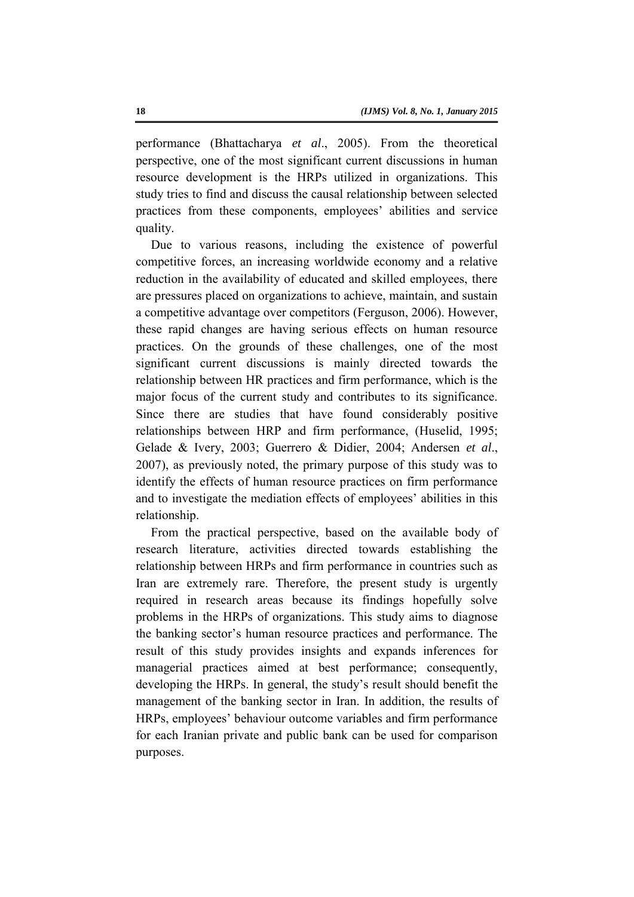performance (Bhattacharya *et al*., 2005). From the theoretical perspective, one of the most significant current discussions in human resource development is the HRPs utilized in organizations. This study tries to find and discuss the causal relationship between selected practices from these components, employees' abilities and service quality.

Due to various reasons, including the existence of powerful competitive forces, an increasing worldwide economy and a relative reduction in the availability of educated and skilled employees, there are pressures placed on organizations to achieve, maintain, and sustain a competitive advantage over competitors (Ferguson, 2006). However, these rapid changes are having serious effects on human resource practices. On the grounds of these challenges, one of the most significant current discussions is mainly directed towards the relationship between HR practices and firm performance, which is the major focus of the current study and contributes to its significance. Since there are studies that have found considerably positive relationships between HRP and firm performance, (Huselid, 1995; Gelade & Ivery, 2003; Guerrero & Didier, 2004; Andersen *et al*., 2007), as previously noted, the primary purpose of this study was to identify the effects of human resource practices on firm performance and to investigate the mediation effects of employees' abilities in this relationship.

From the practical perspective, based on the available body of research literature, activities directed towards establishing the relationship between HRPs and firm performance in countries such as Iran are extremely rare. Therefore, the present study is urgently required in research areas because its findings hopefully solve problems in the HRPs of organizations. This study aims to diagnose the banking sector's human resource practices and performance. The result of this study provides insights and expands inferences for managerial practices aimed at best performance; consequently, developing the HRPs. In general, the study's result should benefit the management of the banking sector in Iran. In addition, the results of HRPs, employees' behaviour outcome variables and firm performance for each Iranian private and public bank can be used for comparison purposes.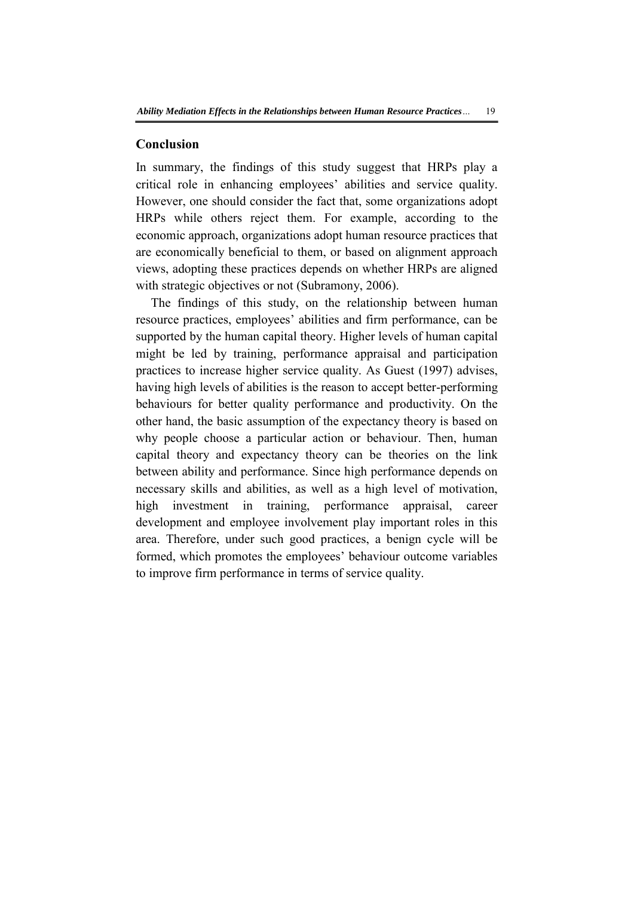#### **Conclusion**

In summary, the findings of this study suggest that HRPs play a critical role in enhancing employees' abilities and service quality. However, one should consider the fact that, some organizations adopt HRPs while others reject them. For example, according to the economic approach, organizations adopt human resource practices that are economically beneficial to them, or based on alignment approach views, adopting these practices depends on whether HRPs are aligned with strategic objectives or not (Subramony, 2006).

The findings of this study, on the relationship between human resource practices, employees' abilities and firm performance, can be supported by the human capital theory. Higher levels of human capital might be led by training, performance appraisal and participation practices to increase higher service quality. As Guest (1997) advises, having high levels of abilities is the reason to accept better-performing behaviours for better quality performance and productivity. On the other hand, the basic assumption of the expectancy theory is based on why people choose a particular action or behaviour. Then, human capital theory and expectancy theory can be theories on the link between ability and performance. Since high performance depends on necessary skills and abilities, as well as a high level of motivation, high investment in training, performance appraisal, career development and employee involvement play important roles in this area. Therefore, under such good practices, a benign cycle will be formed, which promotes the employees' behaviour outcome variables to improve firm performance in terms of service quality.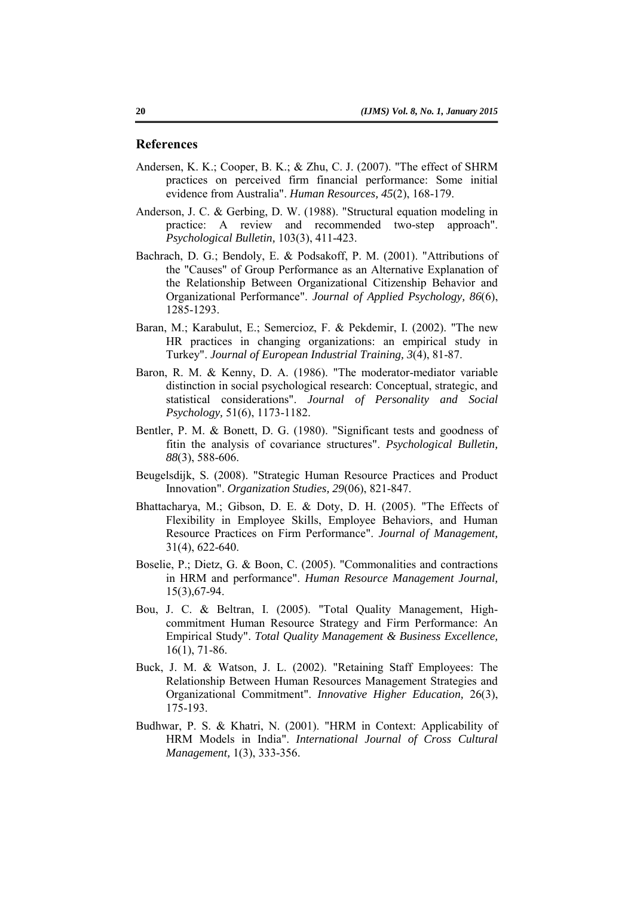#### **References**

- Andersen, K. K.; Cooper, B. K.; & Zhu, C. J. (2007). "The effect of SHRM practices on perceived firm financial performance: Some initial evidence from Australia". *Human Resources, 45*(2), 168-179.
- Anderson, J. C. & Gerbing, D. W. (1988). "Structural equation modeling in practice: A review and recommended two-step approach". *Psychological Bulletin,* 103(3), 411-423.
- Bachrach, D. G.; Bendoly, E. & Podsakoff, P. M. (2001). "Attributions of the "Causes" of Group Performance as an Alternative Explanation of the Relationship Between Organizational Citizenship Behavior and Organizational Performance". *Journal of Applied Psychology, 86*(6), 1285-1293.
- Baran, M.; Karabulut, E.; Semercioz, F. & Pekdemir, I. (2002). "The new HR practices in changing organizations: an empirical study in Turkey". *Journal of European Industrial Training, 3*(4), 81-87.
- Baron, R. M. & Kenny, D. A. (1986). "The moderator-mediator variable distinction in social psychological research: Conceptual, strategic, and statistical considerations". *Journal of Personality and Social Psychology,* 51(6), 1173-1182.
- Bentler, P. M. & Bonett, D. G. (1980). "Significant tests and goodness of fitin the analysis of covariance structures". *Psychological Bulletin, 88*(3), 588-606.
- Beugelsdijk, S. (2008). "Strategic Human Resource Practices and Product Innovation". *Organization Studies, 29*(06), 821-847.
- Bhattacharya, M.; Gibson, D. E. & Doty, D. H. (2005). "The Effects of Flexibility in Employee Skills, Employee Behaviors, and Human Resource Practices on Firm Performance". *Journal of Management,*  31(4), 622-640.
- Boselie, P.; Dietz, G. & Boon, C. (2005). "Commonalities and contractions in HRM and performance". *Human Resource Management Journal,*  15(3),67-94.
- Bou, J. C. & Beltran, I. (2005). "Total Quality Management, Highcommitment Human Resource Strategy and Firm Performance: An Empirical Study". *Total Quality Management & Business Excellence,*  16(1), 71-86.
- Buck, J. M. & Watson, J. L. (2002). "Retaining Staff Employees: The Relationship Between Human Resources Management Strategies and Organizational Commitment". *Innovative Higher Education,* 26(3), 175-193.
- Budhwar, P. S. & Khatri, N. (2001). "HRM in Context: Applicability of HRM Models in India". *International Journal of Cross Cultural Management,* 1(3), 333-356.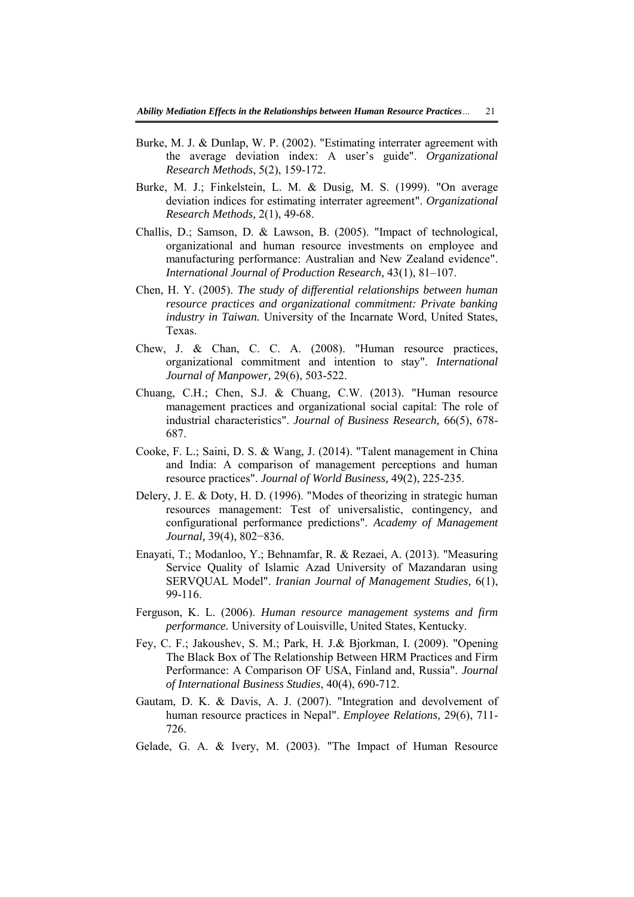- Burke, M. J. & Dunlap, W. P. (2002). "Estimating interrater agreement with the average deviation index: A user's guide". *Organizational Research Methods*, 5(2), 159-172.
- Burke, M. J.; Finkelstein, L. M. & Dusig, M. S. (1999). "On average deviation indices for estimating interrater agreement". *Organizational Research Methods,* 2(1), 49-68.
- Challis, D.; Samson, D. & Lawson, B. (2005). "Impact of technological, organizational and human resource investments on employee and manufacturing performance: Australian and New Zealand evidence". *International Journal of Production Research,* 43(1), 81–107.
- Chen, H. Y. (2005). *The study of differential relationships between human resource practices and organizational commitment: Private banking industry in Taiwan.* University of the Incarnate Word, United States, Texas.
- Chew, J. & Chan, C. C. A. (2008). "Human resource practices, organizational commitment and intention to stay". *International Journal of Manpower,* 29(6), 503-522.
- Chuang, C.H.; Chen, S.J. & Chuang, C.W. (2013). "Human resource management practices and organizational social capital: The role of industrial characteristics". *Journal of Business Research,* 66(5), 678- 687.
- Cooke, F. L.; Saini, D. S. & Wang, J. (2014). "Talent management in China and India: A comparison of management perceptions and human resource practices". *Journal of World Business,* 49(2), 225-235.
- Delery, J. E. & Doty, H. D. (1996). "Modes of theorizing in strategic human resources management: Test of universalistic, contingency, and configurational performance predictions". *Academy of Management Journal,* 39(4), 802−836.
- Enayati, T.; Modanloo, Y.; Behnamfar, R. & Rezaei, A. (2013). "Measuring Service Quality of Islamic Azad University of Mazandaran using SERVQUAL Model". *Iranian Journal of Management Studies,* 6(1), 99-116.
- Ferguson, K. L. (2006). *Human resource management systems and firm performance.* University of Louisville, United States, Kentucky.
- Fey, C. F.; Jakoushev, S. M.; Park, H. J.& Bjorkman, I. (2009). "Opening The Black Box of The Relationship Between HRM Practices and Firm Performance: A Comparison OF USA, Finland and, Russia". *Journal of International Business Studies*, 40(4), 690-712.
- Gautam, D. K. & Davis, A. J. (2007). "Integration and devolvement of human resource practices in Nepal". *Employee Relations,* 29(6), 711- 726.
- Gelade, G. A. & Ivery, M. (2003). "The Impact of Human Resource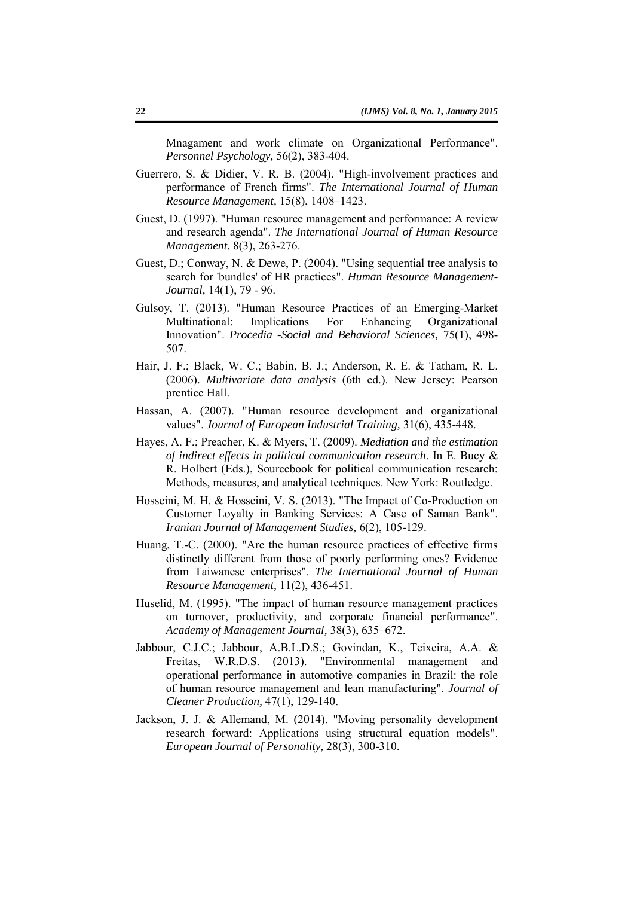Mnagament and work climate on Organizational Performance". *Personnel Psychology,* 56(2), 383-404.

- Guerrero, S. & Didier, V. R. B. (2004). "High-involvement practices and performance of French firms". *The International Journal of Human Resource Management,* 15(8), 1408–1423.
- Guest, D. (1997). "Human resource management and performance: A review and research agenda". *The International Journal of Human Resource Management*, 8(3), 263-276.
- Guest, D.; Conway, N. & Dewe, P. (2004). "Using sequential tree analysis to search for 'bundles' of HR practices". *Human Resource Management-Journal,* 14(1), 79 - 96.
- Gulsoy, T. (2013). "Human Resource Practices of an Emerging-Market Multinational: Implications For Enhancing Organizational Innovation". *Procedia -Social and Behavioral Sciences,* 75(1), 498- 507.
- Hair, J. F.; Black, W. C.; Babin, B. J.; Anderson, R. E. & Tatham, R. L. (2006). *Multivariate data analysis* (6th ed.). New Jersey: Pearson prentice Hall.
- Hassan, A. (2007). "Human resource development and organizational values". *Journal of European Industrial Training,* 31(6), 435-448.
- Hayes, A. F.; Preacher, K. & Myers, T. (2009). *Mediation and the estimation of indirect effects in political communication research*. In E. Bucy & R. Holbert (Eds.), Sourcebook for political communication research: Methods, measures, and analytical techniques. New York: Routledge.
- Hosseini, M. H. & Hosseini, V. S. (2013). "The Impact of Co-Production on Customer Loyalty in Banking Services: A Case of Saman Bank". *Iranian Journal of Management Studies,* 6(2), 105-129.
- Huang, T.-C. (2000). "Are the human resource practices of effective firms distinctly different from those of poorly performing ones? Evidence from Taiwanese enterprises". *The International Journal of Human Resource Management,* 11(2), 436-451.
- Huselid, M. (1995). "The impact of human resource management practices on turnover, productivity, and corporate financial performance". *Academy of Management Journal,* 38(3), 635–672.
- Jabbour, C.J.C.; Jabbour, A.B.L.D.S.; Govindan, K., Teixeira, A.A. & Freitas, W.R.D.S. (2013). "Environmental management and operational performance in automotive companies in Brazil: the role of human resource management and lean manufacturing". *Journal of Cleaner Production,* 47(1), 129-140.
- Jackson, J. J. & Allemand, M. (2014). "Moving personality development research forward: Applications using structural equation models". *European Journal of Personality,* 28(3), 300-310.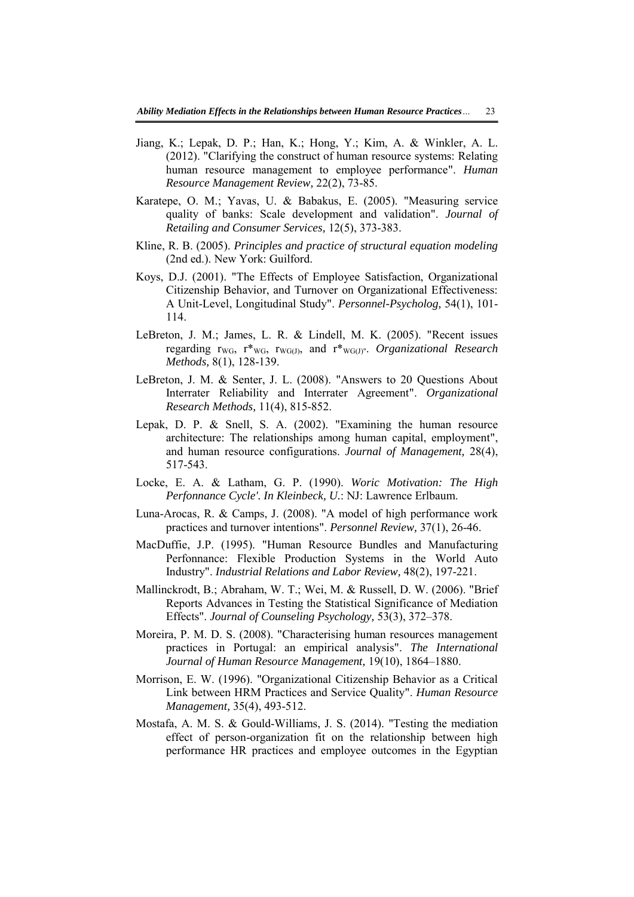- Jiang, K.; Lepak, D. P.; Han, K.; Hong, Y.; Kim, A. & Winkler, A. L. (2012). "Clarifying the construct of human resource systems: Relating human resource management to employee performance". *Human Resource Management Review,* 22(2), 73-85.
- Karatepe, O. M.; Yavas, U. & Babakus, E. (2005). "Measuring service quality of banks: Scale development and validation". *Journal of Retailing and Consumer Services,* 12(5), 373-383.
- Kline, R. B. (2005). *Principles and practice of structural equation modeling* (2nd ed.). New York: Guilford.
- Koys, D.J. (2001). "The Effects of Employee Satisfaction, Organizational Citizenship Behavior, and Turnover on Organizational Effectiveness: A Unit-Level, Longitudinal Study". *Personnel-Psycholog,* 54(1), 101- 114.
- LeBreton, J. M.; James, L. R. & Lindell, M. K. (2005). "Recent issues regarding rWG, r\*WG, rWG(J), and r\*WG(J)". *Organizational Research Methods,* 8(1), 128-139.
- LeBreton, J. M. & Senter, J. L. (2008). "Answers to 20 Questions About Interrater Reliability and Interrater Agreement". *Organizational Research Methods,* 11(4), 815-852.
- Lepak, D. P. & Snell, S. A. (2002). "Examining the human resource architecture: The relationships among human capital, employment", and human resource configurations. *Journal of Management,* 28(4), 517-543.
- Locke, E. A. & Latham, G. P. (1990). *Woric Motivation: The High Perfonnance Cycle'. In Kleinbeck, U.*: NJ: Lawrence Erlbaum.
- Luna-Arocas, R. & Camps, J. (2008). "A model of high performance work practices and turnover intentions". *Personnel Review,* 37(1), 26-46.
- MacDuffie, J.P. (1995). "Human Resource Bundles and Manufacturing Perfonnance: Flexible Production Systems in the World Auto Industry". *Industrial Relations and Labor Review,* 48(2), 197-221.
- Mallinckrodt, B.; Abraham, W. T.; Wei, M. & Russell, D. W. (2006). "Brief Reports Advances in Testing the Statistical Significance of Mediation Effects". *Journal of Counseling Psychology,* 53(3), 372–378.
- Moreira, P. M. D. S. (2008). "Characterising human resources management practices in Portugal: an empirical analysis". *The International Journal of Human Resource Management,* 19(10), 1864–1880.
- Morrison, E. W. (1996). "Organizational Citizenship Behavior as a Critical Link between HRM Practices and Service Quality". *Human Resource Management,* 35(4), 493-512.
- Mostafa, A. M. S. & Gould-Williams, J. S. (2014). "Testing the mediation effect of person-organization fit on the relationship between high performance HR practices and employee outcomes in the Egyptian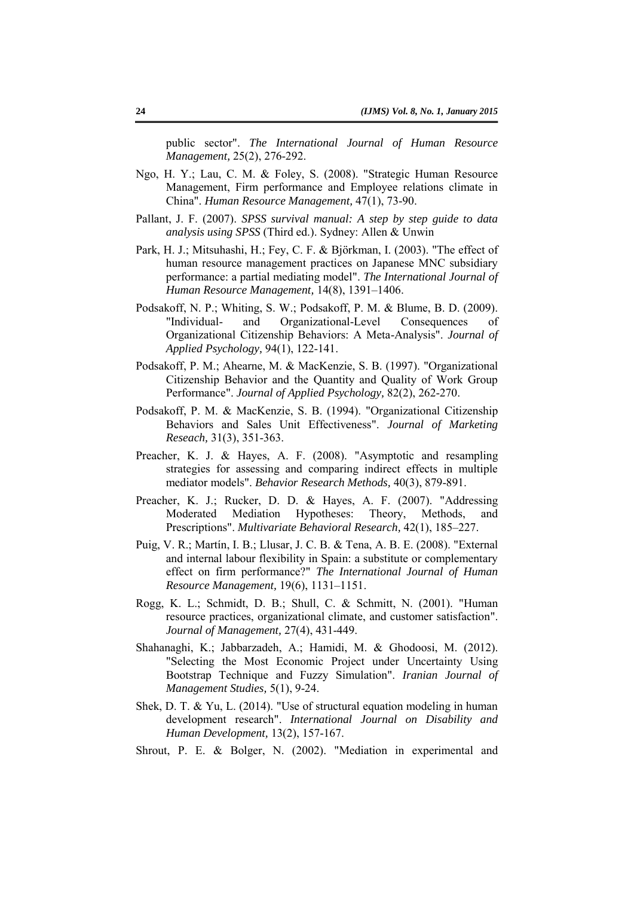public sector". *The International Journal of Human Resource Management,* 25(2), 276-292.

- Ngo, H. Y.; Lau, C. M. & Foley, S. (2008). "Strategic Human Resource Management, Firm performance and Employee relations climate in China". *Human Resource Management,* 47(1), 73-90.
- Pallant, J. F. (2007). *SPSS survival manual: A step by step guide to data analysis using SPSS* (Third ed.). Sydney: Allen & Unwin
- Park, H. J.; Mitsuhashi, H.; Fey, C. F. & Björkman, I. (2003). "The effect of human resource management practices on Japanese MNC subsidiary performance: a partial mediating model". *The International Journal of Human Resource Management,* 14(8), 1391–1406.
- Podsakoff, N. P.; Whiting, S. W.; Podsakoff, P. M. & Blume, B. D. (2009). "Individual- and Organizational-Level Consequences of Organizational Citizenship Behaviors: A Meta-Analysis". *Journal of Applied Psychology,* 94(1), 122-141.
- Podsakoff, P. M.; Ahearne, M. & MacKenzie, S. B. (1997). "Organizational Citizenship Behavior and the Quantity and Quality of Work Group Performance". *Journal of Applied Psychology,* 82(2), 262-270.
- Podsakoff, P. M. & MacKenzie, S. B. (1994). "Organizational Citizenship Behaviors and Sales Unit Effectiveness". *Journal of Marketing Reseach,* 31(3), 351-363.
- Preacher, K. J. & Hayes, A. F. (2008). "Asymptotic and resampling strategies for assessing and comparing indirect effects in multiple mediator models". *Behavior Research Methods,* 40(3), 879-891.
- Preacher, K. J.; Rucker, D. D. & Hayes, A. F. (2007). "Addressing Moderated Mediation Hypotheses: Theory, Methods, and Prescriptions". *Multivariate Behavioral Research,* 42(1), 185–227.
- Puig, V. R.; Martín, I. B.; Llusar, J. C. B. & Tena, A. B. E. (2008). "External and internal labour flexibility in Spain: a substitute or complementary effect on firm performance?" *The International Journal of Human Resource Management,* 19(6), 1131–1151.
- Rogg, K. L.; Schmidt, D. B.; Shull, C. & Schmitt, N. (2001). "Human resource practices, organizational climate, and customer satisfaction". *Journal of Management,* 27(4), 431-449.
- Shahanaghi, K.; Jabbarzadeh, A.; Hamidi, M. & Ghodoosi, M. (2012). "Selecting the Most Economic Project under Uncertainty Using Bootstrap Technique and Fuzzy Simulation". *Iranian Journal of Management Studies,* 5(1), 9-24.
- Shek, D. T. & Yu, L. (2014). "Use of structural equation modeling in human development research". *International Journal on Disability and Human Development,* 13(2), 157-167.
- Shrout, P. E. & Bolger, N. (2002). "Mediation in experimental and